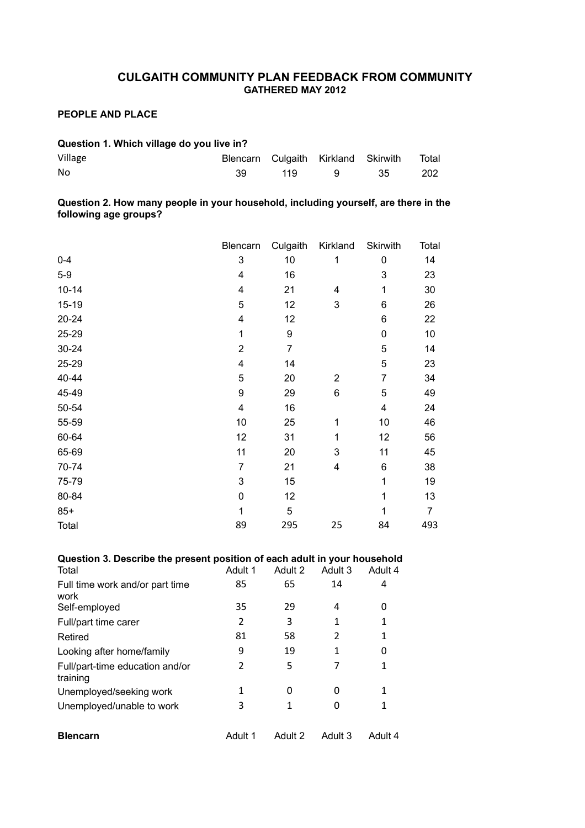# **CULGAITH COMMUNITY PLAN FEEDBACK FROM COMMUNITY GATHERED MAY 2012**

# **PEOPLE AND PLACE**

| Question 1. Which village do you live in? |    |      |                                     |      |       |  |
|-------------------------------------------|----|------|-------------------------------------|------|-------|--|
| Village                                   |    |      | Blencarn Culgaith Kirkland Skirwith |      | Total |  |
| No                                        | 39 | 119. |                                     | -35- | 202   |  |

**Question 2. How many people in your household, including yourself, are there in the following age groups?** 

|           | Blencarn       | Culgaith       | Kirkland                  | <b>Skirwith</b> | Total |
|-----------|----------------|----------------|---------------------------|-----------------|-------|
| $0 - 4$   | 3              | 10             | 1                         | 0               | 14    |
| $5-9$     | 4              | 16             |                           | 3               | 23    |
| $10 - 14$ | 4              | 21             | 4                         | 1               | 30    |
| $15 - 19$ | 5              | 12             | $\ensuremath{\mathsf{3}}$ | 6               | 26    |
| 20-24     | 4              | 12             |                           | 6               | 22    |
| 25-29     | 1              | 9              |                           | $\mathbf 0$     | 10    |
| $30 - 24$ | $\overline{2}$ | $\overline{7}$ |                           | 5               | 14    |
| 25-29     | 4              | 14             |                           | 5               | 23    |
| 40-44     | 5              | 20             | $\overline{2}$            | 7               | 34    |
| 45-49     | 9              | 29             | $\,6$                     | 5               | 49    |
| 50-54     | 4              | 16             |                           | 4               | 24    |
| 55-59     | 10             | 25             | 1                         | 10              | 46    |
| 60-64     | 12             | 31             | 1                         | 12              | 56    |
| 65-69     | 11             | 20             | 3                         | 11              | 45    |
| 70-74     | $\overline{7}$ | 21             | 4                         | 6               | 38    |
| 75-79     | 3              | 15             |                           | 1               | 19    |
| 80-84     | 0              | 12             |                           | 1               | 13    |
| $85+$     | 1              | 5              |                           | 1               | 7     |
| Total     | 89             | 295            | 25                        | 84              | 493   |

# **Question 3. Describe the present position of each adult in your household**

| Total                                       | Adult 1 | Adult 2 | Adult 3 | Adult 4 |
|---------------------------------------------|---------|---------|---------|---------|
| Full time work and/or part time<br>work     | 85      | 65      | 14      | 4       |
| Self-employed                               | 35      | 29      | 4       | 0       |
| Full/part time carer                        | 2       | 3       | 1       | 1       |
| Retired                                     | 81      | 58      | 2       | 1       |
| Looking after home/family                   | 9       | 19      | 1       | 0       |
| Full/part-time education and/or<br>training | 2       | 5       | 7       | 1       |
| Unemployed/seeking work                     | 1       | 0       | 0       | 1       |
| Unemployed/unable to work                   | 3       | 1       | 0       | 1       |
| <b>Blencarn</b>                             | Adult 1 | Adult 2 | Adult 3 | Adult 4 |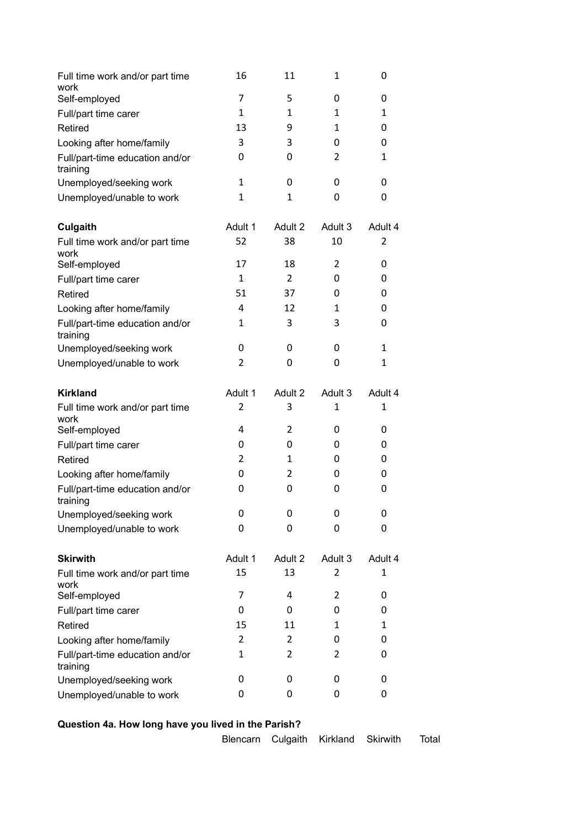| Full time work and/or part time<br>work              | 16             | 11             | $\mathbf{1}$ | 0            |
|------------------------------------------------------|----------------|----------------|--------------|--------------|
| Self-employed                                        | 7              | 5              | 0            | 0            |
| Full/part time carer                                 | $\mathbf{1}$   | $\mathbf{1}$   | $\mathbf{1}$ | $\mathbf{1}$ |
| Retired                                              | 13             | 9              | $\mathbf{1}$ | 0            |
| Looking after home/family                            | 3              | 3              | 0            | 0            |
| Full/part-time education and/or<br>training          | 0              | 0              | 2            | $\mathbf{1}$ |
| Unemployed/seeking work                              | $\mathbf{1}$   | 0              | 0            | 0            |
| Unemployed/unable to work                            | $\mathbf{1}$   | $\mathbf{1}$   | 0            | 0            |
| <b>Culgaith</b>                                      | Adult 1        | Adult 2        | Adult 3      | Adult 4      |
| Full time work and/or part time<br>work              | 52             | 38             | 10           | 2            |
| Self-employed                                        | 17             | 18             | 2            | 0            |
| Full/part time carer                                 | 1              | $\overline{2}$ | 0            | 0            |
| Retired                                              | 51             | 37             | 0            | 0            |
| Looking after home/family                            | 4              | 12             | 1            | 0            |
| Full/part-time education and/or<br>training          | 1              | 3              | 3            | 0            |
| Unemployed/seeking work                              | 0              | 0              | 0            | $\mathbf{1}$ |
| Unemployed/unable to work                            | 2              | 0              | 0            | $\mathbf{1}$ |
|                                                      |                |                |              |              |
| <b>Kirkland</b>                                      | Adult 1        | Adult 2        | Adult 3      | Adult 4      |
| Full time work and/or part time<br>work              | 2              | 3              | 1            | $\mathbf{1}$ |
| Self-employed                                        | 4              | 2              | 0            | 0            |
| Full/part time carer                                 | 0              | 0              | 0            | 0            |
| Retired                                              | $\overline{2}$ | 1              | 0            | 0            |
| Looking after home/family                            | 0              | 2              | 0            | 0            |
| Full/part-time education and/or<br>training          | 0              | 0              | 0            | 0            |
| Unemployed/seeking work                              | 0              | 0              | 0            | 0            |
| Unemployed/unable to work                            | 0              | 0              | 0            | 0            |
| <b>Skirwith</b>                                      | Adult 1        | Adult 2        | Adult 3      | Adult 4      |
| Full time work and/or part time                      | 15             | 13             | 2            | $\mathbf{1}$ |
| work<br>Self-employed                                | 7              | 4              | 2            | 0            |
| Full/part time carer                                 | 0              | 0              | 0            | 0            |
| Retired                                              | 15             | 11             | 1            | $\mathbf{1}$ |
| Looking after home/family                            | 2              | 2              | 0            | 0            |
| Full/part-time education and/or                      | 1              | 2              | 2            | 0            |
| training                                             |                |                |              |              |
| Unemployed/seeking work<br>Unemployed/unable to work | 0<br>0         | 0<br>0         | 0<br>0       | 0<br>0       |

# **Question 4a. How long have you lived in the Parish?**

Blencarn Culgaith Kirkland Skirwith Total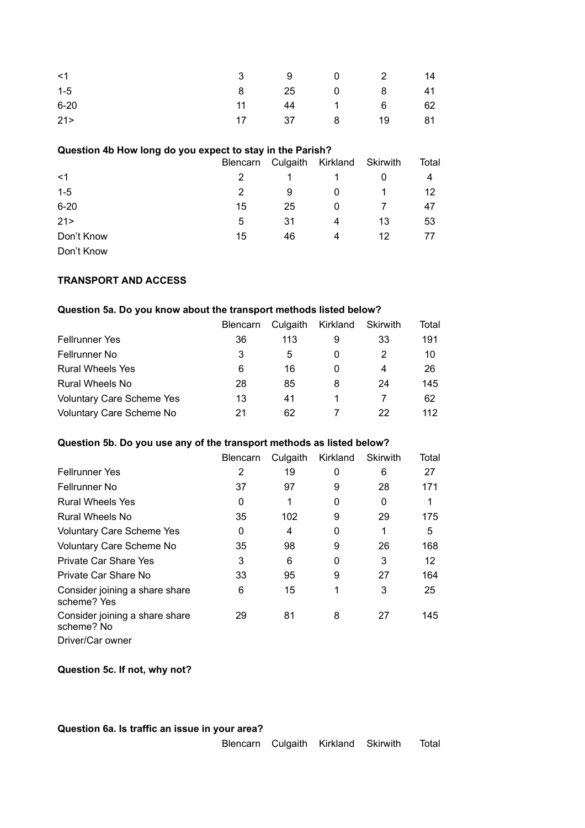| $<$ 1    |  | 3 9 0 2 14    |  |
|----------|--|---------------|--|
| $1 - 5$  |  | 8 25 0 8 41   |  |
| $6 - 20$ |  | 11 44 1 6 62  |  |
| 21 >     |  | 17 37 8 19 81 |  |

#### **Question 4b How long do you expect to stay in the Parish?**

|                                          | Blencarn |    | Culgaith Kirkland | Skirwith | Total |
|------------------------------------------|----------|----|-------------------|----------|-------|
| $<$ 1                                    |          |    |                   |          | 4     |
| $1-5$                                    | 2        | 9  | 0                 |          | 12    |
| $6 - 20$                                 | 15       | 25 | 0                 |          | 47    |
| 21 >                                     | 5        | 31 | 4                 | 13       | 53    |
| Don't Know                               | 15       | 46 | 4                 | 12       | 77    |
| $D_{\alpha\alpha'}$ $V_{\alpha\alpha''}$ |          |    |                   |          |       |

Don't Know

#### **TRANSPORT AND ACCESS**

# **Question 5a. Do you know about the transport methods listed below?**

|                                  | <b>Blencarn</b> | Culgaith | Kirkland | Skirwith | Total |
|----------------------------------|-----------------|----------|----------|----------|-------|
| <b>Fellrunner Yes</b>            | 36              | 113      | 9        | 33       | 191   |
| <b>Fellrunner No</b>             | 3               | 5        | O        |          | 10    |
| <b>Rural Wheels Yes</b>          | 6               | 16       | O        | 4        | 26    |
| Rural Wheels No                  | 28              | 85       | 8        | 24       | 145   |
| <b>Voluntary Care Scheme Yes</b> | 13              | 41       |          |          | 62    |
| Voluntary Care Scheme No         | 21              | 62       |          | 22       | 112   |

#### **Question 5b. Do you use any of the transport methods as listed below?**

|                                               | <b>Blencarn</b> | Culgaith | Kirkland | Skirwith | Total |
|-----------------------------------------------|-----------------|----------|----------|----------|-------|
| <b>Fellrunner Yes</b>                         | 2               | 19       | 0        | 6        | 27    |
| Fellrunner No                                 | 37              | 97       | 9        | 28       | 171   |
| <b>Rural Wheels Yes</b>                       | 0               |          | 0        | 0        |       |
| Rural Wheels No                               | 35              | 102      | 9        | 29       | 175   |
| <b>Voluntary Care Scheme Yes</b>              | 0               | 4        | 0        | 1        | 5     |
| Voluntary Care Scheme No                      | 35              | 98       | 9        | 26       | 168   |
| Private Car Share Yes                         | 3               | 6        | 0        | 3        | 12    |
| Private Car Share No                          | 33              | 95       | 9        | 27       | 164   |
| Consider joining a share share<br>scheme? Yes | 6               | 15       | 1        | 3        | 25    |
| Consider joining a share share<br>scheme? No  | 29              | 81       | 8        | 27       | 145   |
| Driver/Car owner                              |                 |          |          |          |       |

**Question 5c. If not, why not?**

**Question 6a. Is traffic an issue in your area?**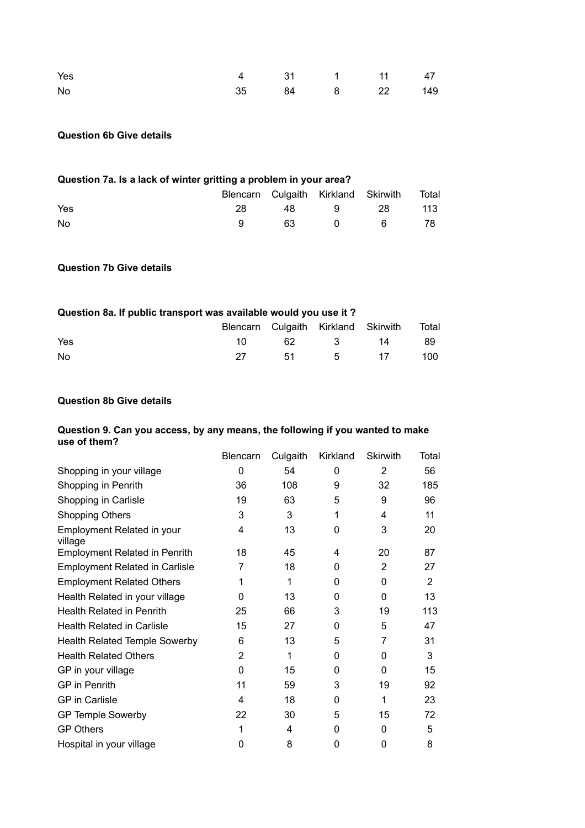| Yes | 4 31 1 11 47   |  |  |
|-----|----------------|--|--|
| No  | 35 84 8 22 149 |  |  |

#### **Question 6b Give details**

# **Question 7a. Is a lack of winter gritting a problem in your area?**

|     |    |  | Blencarn Culgaith Kirkland Skirwith Total |     |
|-----|----|--|-------------------------------------------|-----|
| Yes | 28 |  | 48 9 28                                   | 113 |
| No  |    |  | $0 \qquad 6 \qquad 78$                    |     |

#### **Question 7b Give details**

#### **Question 8a. If public transport was available would you use it ?**

|     |  | Blencarn Culgaith Kirkland Skirwith Total |  |
|-----|--|-------------------------------------------|--|
| Yes |  | 10 62 3 14 89                             |  |
| No  |  | 27 51 5 17 100                            |  |

#### **Question 8b Give details**

#### **Question 9. Can you access, by any means, the following if you wanted to make use of them?**

|                                       | <b>Blencarn</b> | Culgaith | Kirkland | <b>Skirwith</b> | Total |
|---------------------------------------|-----------------|----------|----------|-----------------|-------|
| Shopping in your village              | 0               | 54       | 0        | 2               | 56    |
| Shopping in Penrith                   | 36              | 108      | 9        | 32              | 185   |
| Shopping in Carlisle                  | 19              | 63       | 5        | 9               | 96    |
| <b>Shopping Others</b>                | 3               | 3        | 1        | 4               | 11    |
| Employment Related in your<br>village | 4               | 13       | 0        | 3               | 20    |
| <b>Employment Related in Penrith</b>  | 18              | 45       | 4        | 20              | 87    |
| <b>Employment Related in Carlisle</b> | 7               | 18       | 0        | $\overline{2}$  | 27    |
| <b>Employment Related Others</b>      | 1               | 1        | 0        | 0               | 2     |
| Health Related in your village        | 0               | 13       | 0        | 0               | 13    |
| <b>Health Related in Penrith</b>      | 25              | 66       | 3        | 19              | 113   |
| <b>Health Related in Carlisle</b>     | 15              | 27       | 0        | 5               | 47    |
| <b>Health Related Temple Sowerby</b>  | 6               | 13       | 5        | 7               | 31    |
| <b>Health Related Others</b>          | $\overline{2}$  | 1        | 0        | 0               | 3     |
| GP in your village                    | 0               | 15       | 0        | 0               | 15    |
| <b>GP</b> in Penrith                  | 11              | 59       | 3        | 19              | 92    |
| <b>GP</b> in Carlisle                 | 4               | 18       | 0        | 1               | 23    |
| <b>GP Temple Sowerby</b>              | 22              | 30       | 5        | 15              | 72    |
| <b>GP Others</b>                      | 1               | 4        | 0        | 0               | 5     |
| Hospital in your village              | 0               | 8        | 0        | 0               | 8     |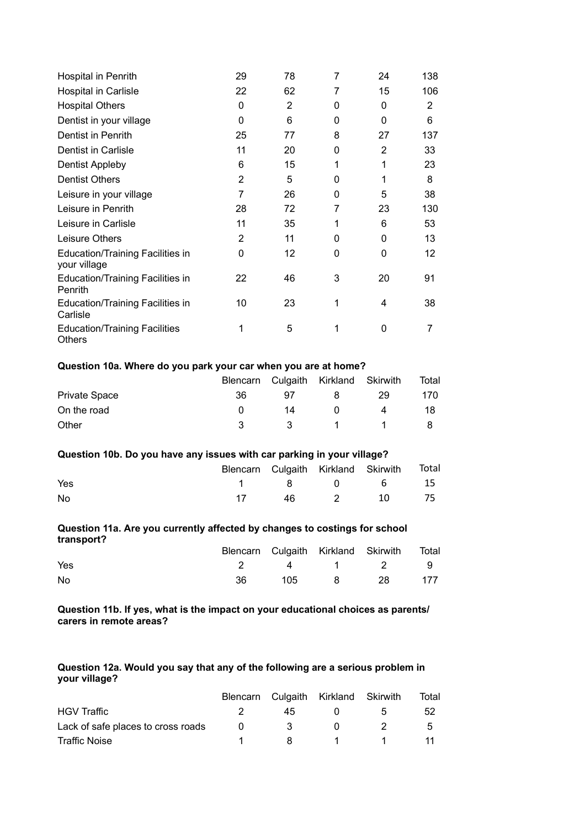| Hospital in Penrith                                   | 29             | 78 | 7 | 24             | 138 |
|-------------------------------------------------------|----------------|----|---|----------------|-----|
| Hospital in Carlisle                                  | 22             | 62 | 7 | 15             | 106 |
| <b>Hospital Others</b>                                | 0              | 2  | 0 | 0              | 2   |
| Dentist in your village                               | 0              | 6  | 0 | $\Omega$       | 6   |
| Dentist in Penrith                                    | 25             | 77 | 8 | 27             | 137 |
| Dentist in Carlisle                                   | 11             | 20 | 0 | $\overline{2}$ | 33  |
| Dentist Appleby                                       | 6              | 15 | 1 | 1              | 23  |
| <b>Dentist Others</b>                                 | $\overline{2}$ | 5  | 0 | 1              | 8   |
| Leisure in your village                               | 7              | 26 | 0 | 5              | 38  |
| Leisure in Penrith                                    | 28             | 72 | 7 | 23             | 130 |
| Leisure in Carlisle                                   | 11             | 35 | 1 | 6              | 53  |
| Leisure Others                                        | 2              | 11 | 0 | 0              | 13  |
| Education/Training Facilities in<br>your village      | 0              | 12 | 0 | 0              | 12  |
| <b>Education/Training Facilities in</b><br>Penrith    | 22             | 46 | 3 | 20             | 91  |
| <b>Education/Training Facilities in</b><br>Carlisle   | 10             | 23 | 1 | 4              | 38  |
| <b>Education/Training Facilities</b><br><b>Others</b> | 1              | 5  | 1 | 0              | 7   |

### **Question 10a. Where do you park your car when you are at home?**

|                      |    |              | Blencarn Culgaith Kirkland Skirwith |    | Total |
|----------------------|----|--------------|-------------------------------------|----|-------|
| <b>Private Space</b> | 36 | 97           |                                     | 29 | 170   |
| On the road          |    | 14           | $\mathbf{U}$                        |    | 18    |
| Other                |    | $\mathbf{R}$ |                                     |    |       |

#### **Question 10b. Do you have any issues with car parking in your village?**

|     | Blencarn Culgaith Kirkland Skirwith Total |  |            |  |
|-----|-------------------------------------------|--|------------|--|
| Yes |                                           |  | 1 8 0 6 15 |  |
| No  |                                           |  | 46 2 10 75 |  |

#### **Question 11a. Are you currently affected by changes to costings for school transport?**

|     |  | Blencarn Culgaith Kirkland Skirwith Total |  |
|-----|--|-------------------------------------------|--|
| Yes |  | 2 4 1 2 9                                 |  |
| No  |  | 105 8 28 177                              |  |

**Question 11b. If yes, what is the impact on your educational choices as parents/ carers in remote areas?**

#### **Question 12a. Would you say that any of the following are a serious problem in your village?**

|                                    |     | Blencarn Culgaith Kirkland Skirwith |   | Total        |
|------------------------------------|-----|-------------------------------------|---|--------------|
| <b>HGV Traffic</b>                 | 45. |                                     | h | 52           |
| Lack of safe places to cross roads | 3.  |                                     |   | $\mathbf{b}$ |
| Traffic Noise                      | 8.  |                                     |   |              |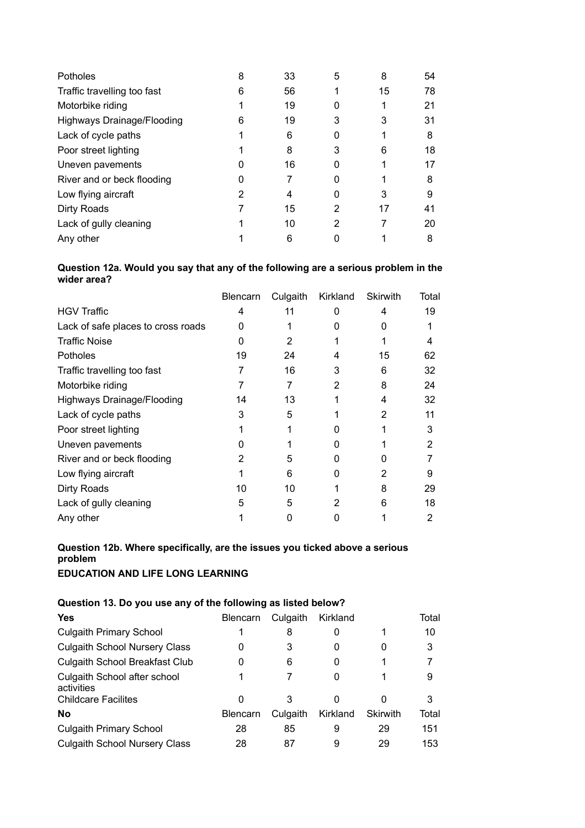| <b>Potholes</b>                   | 8 | 33 | 5 | 8  | 54 |
|-----------------------------------|---|----|---|----|----|
| Traffic travelling too fast       | 6 | 56 |   | 15 | 78 |
| Motorbike riding                  |   | 19 |   |    | 21 |
| <b>Highways Drainage/Flooding</b> | 6 | 19 | 3 | 3  | 31 |
| Lack of cycle paths               |   | 6  |   |    | 8  |
| Poor street lighting              |   | 8  | 3 | 6  | 18 |
| Uneven pavements                  |   | 16 |   |    | 17 |
| River and or beck flooding        |   |    |   |    | 8  |
| Low flying aircraft               |   | 4  |   | 3  | 9  |
| Dirty Roads                       |   | 15 | 2 | 17 | 41 |
| Lack of gully cleaning            |   | 10 | 2 |    | 20 |
| Any other                         |   | 6  |   |    | 8  |

#### **Question 12a. Would you say that any of the following are a serious problem in the wider area?**

|                                    | Blencarn | Culgaith | Kirkland | <b>Skirwith</b> | Total |
|------------------------------------|----------|----------|----------|-----------------|-------|
| <b>HGV Traffic</b>                 | 4        | 11       | 0        | 4               | 19    |
| Lack of safe places to cross roads | 0        |          | 0        |                 |       |
| <b>Traffic Noise</b>               | $\Omega$ | 2        |          |                 | 4     |
| Potholes                           | 19       | 24       | 4        | 15              | 62    |
| Traffic travelling too fast        |          | 16       | 3        | 6               | 32    |
| Motorbike riding                   |          |          | 2        | 8               | 24    |
| <b>Highways Drainage/Flooding</b>  | 14       | 13       |          | 4               | 32    |
| Lack of cycle paths                | 3        | 5        |          | 2               | 11    |
| Poor street lighting               |          |          |          |                 | 3     |
| Uneven pavements                   |          |          | 0        |                 | 2     |
| River and or beck flooding         | 2        | 5        | 0        |                 |       |
| Low flying aircraft                |          | 6        | 0        |                 | 9     |
| Dirty Roads                        | 10       | 10       |          | 8               | 29    |
| Lack of gully cleaning             | 5        | 5        | 2        | 6               | 18    |
| Any other                          |          |          | 0        |                 | 2     |

#### **Question 12b. Where specifically, are the issues you ticked above a serious problem EDUCATION AND LIFE LONG LEARNING**

**Question 13. Do you use any of the following as listed below?** 

### **Yes Blencarn** Culgaith Kirkland Total Culgaith Primary School 1 8 0 1 1 10 Culgaith School Nursery Class 0 3 0 0 3 Culgaith School Breakfast Club 0 6 0 1 7 Culgaith School after school activities 1 7 0 1 9 Childcare Facilites 0 3 0 0 3 **No** Blencarn Culgaith Kirkland Skirwith Total Culgaith Primary School 28 85 9 29 151 Culgaith School Nursery Class 28 87 9 29 153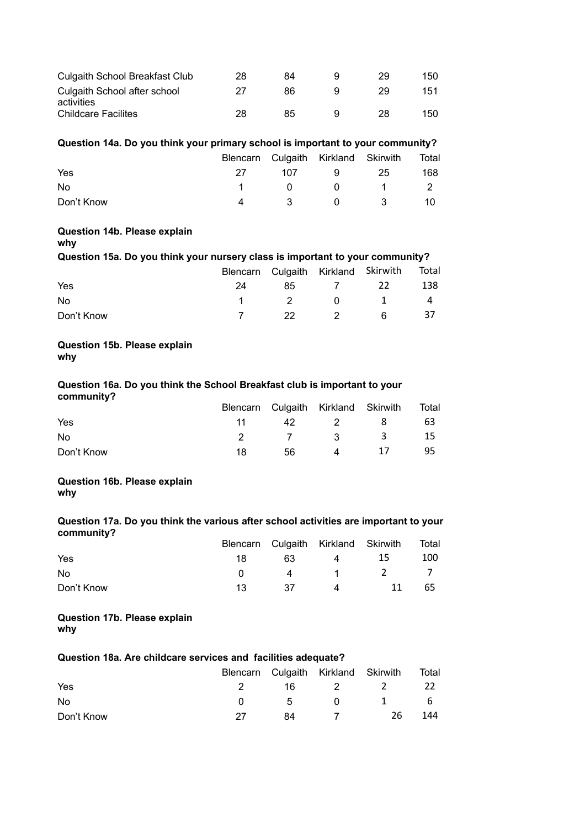| Culgaith School Breakfast Club             | 28 | 84 | 29 | 150 |
|--------------------------------------------|----|----|----|-----|
| Culgaith School after school<br>activities | ソフ | 86 | 29 | 151 |
| <b>Childcare Facilites</b>                 | 28 | 85 | 28 | 150 |

#### **Question 14a. Do you think your primary school is important to your community?**

|            |                   |          | Blencarn Culgaith Kirkland Skirwith | Total |
|------------|-------------------|----------|-------------------------------------|-------|
| Yes        | 27                | 107 9 25 |                                     | 168   |
| No         |                   |          | 1 0 0 1 2                           |       |
| Don't Know | $\mathbf{\Delta}$ |          | 3 0 3                               | 10    |

#### **Question 14b. Please explain**

**why**

# **Question 15a. Do you think your nursery class is important to your community?**

|            |    |    |          | Blencarn Culgaith Kirkland Skirwith Total |     |
|------------|----|----|----------|-------------------------------------------|-----|
| Yes        | 24 |    | 85 7 22  |                                           | 138 |
| No.        |    |    |          | 1 2 0 1 4                                 |     |
| Don't Know |    | 22 | $\sim$ 2 | - 6 -                                     | -37 |

#### **Question 15b. Please explain why**

#### **Question 16a. Do you think the School Breakfast club is important to your community?**

|            |     |      |     | Blencarn Culgaith Kirkland Skirwith Total |    |
|------------|-----|------|-----|-------------------------------------------|----|
| Yes        |     | 42 — | 2 8 |                                           | 63 |
| No         |     |      |     | 2 7 3 3 15                                |    |
| Don't Know | 18. | 56   | 4   | -17                                       | 95 |

# **Question 16b. Please explain**

**why**

#### **Question 17a. Do you think the various after school activities are important to your community?**

|            |                 |    |      | Blencarn Culgaith Kirkland Skirwith Total |     |
|------------|-----------------|----|------|-------------------------------------------|-----|
| Yes        | 18 -            |    | 63 4 | -15                                       | 100 |
| No.        | $\mathbf{u}$    |    |      | 4 1 2 7                                   |     |
| Don't Know | $\overline{13}$ | 37 |      | 4 11                                      | 65  |

#### **Question 17b. Please explain why**

# **Question 18a. Are childcare services and facilities adequate?**

|            |              |    | Blencarn Culgaith Kirkland Skirwith |          | Total |
|------------|--------------|----|-------------------------------------|----------|-------|
| Yes        |              |    |                                     | 16 2 2   | -22   |
| No.        | $\mathbf{u}$ |    | 5 0                                 | $\sim$ 1 | - 6   |
| Don't Know | -27          | 84 |                                     | -26      | 144   |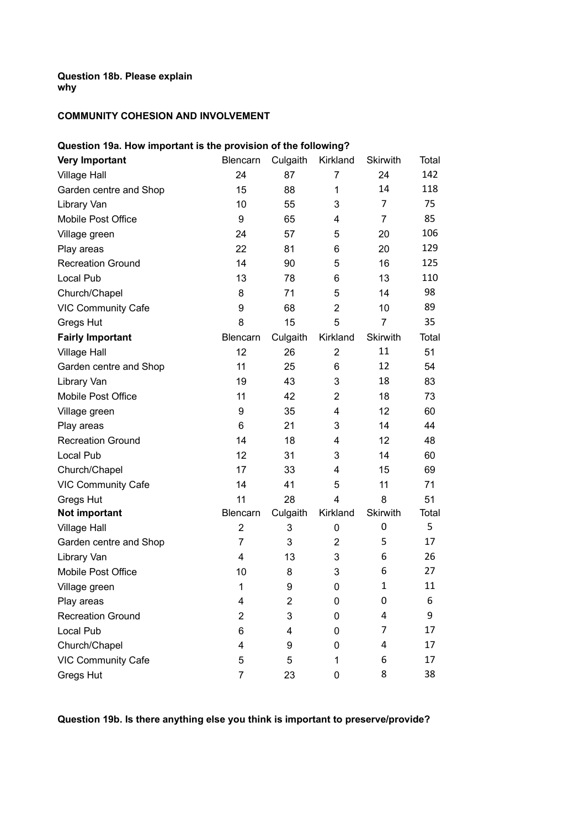# **Question 18b. Please explain why**

# **COMMUNITY COHESION AND INVOLVEMENT**

| Question 19a. How important is the provision of the following? |                 |          |                |                 |       |  |  |  |
|----------------------------------------------------------------|-----------------|----------|----------------|-----------------|-------|--|--|--|
| <b>Very Important</b>                                          | Blencarn        | Culgaith | Kirkland       | <b>Skirwith</b> | Total |  |  |  |
| <b>Village Hall</b>                                            | 24              | 87       | 7              | 24              | 142   |  |  |  |
| Garden centre and Shop                                         | 15              | 88       | 1              | 14              | 118   |  |  |  |
| Library Van                                                    | 10              | 55       | 3              | 7               | 75    |  |  |  |
| Mobile Post Office                                             | 9               | 65       | 4              | $\overline{7}$  | 85    |  |  |  |
| Village green                                                  | 24              | 57       | 5              | 20              | 106   |  |  |  |
| Play areas                                                     | 22              | 81       | 6              | 20              | 129   |  |  |  |
| <b>Recreation Ground</b>                                       | 14              | 90       | 5              | 16              | 125   |  |  |  |
| Local Pub                                                      | 13              | 78       | 6              | 13              | 110   |  |  |  |
| Church/Chapel                                                  | 8               | 71       | 5              | 14              | 98    |  |  |  |
| <b>VIC Community Cafe</b>                                      | 9               | 68       | $\overline{2}$ | 10              | 89    |  |  |  |
| Gregs Hut                                                      | 8               | 15       | 5              | $\overline{7}$  | 35    |  |  |  |
| <b>Fairly Important</b>                                        | <b>Blencarn</b> | Culgaith | Kirkland       | Skirwith        | Total |  |  |  |
| <b>Village Hall</b>                                            | 12              | 26       | $\overline{2}$ | 11              | 51    |  |  |  |
| Garden centre and Shop                                         | 11              | 25       | 6              | 12              | 54    |  |  |  |
| Library Van                                                    | 19              | 43       | 3              | 18              | 83    |  |  |  |
| Mobile Post Office                                             | 11              | 42       | $\overline{2}$ | 18              | 73    |  |  |  |
| Village green                                                  | 9               | 35       | 4              | 12              | 60    |  |  |  |
| Play areas                                                     | 6               | 21       | 3              | 14              | 44    |  |  |  |
| <b>Recreation Ground</b>                                       | 14              | 18       | 4              | 12              | 48    |  |  |  |
| Local Pub                                                      | 12              | 31       | 3              | 14              | 60    |  |  |  |
| Church/Chapel                                                  | 17              | 33       | 4              | 15              | 69    |  |  |  |
| <b>VIC Community Cafe</b>                                      | 14              | 41       | 5              | 11              | 71    |  |  |  |
| Gregs Hut                                                      | 11              | 28       | 4              | 8               | 51    |  |  |  |
| Not important                                                  | <b>Blencarn</b> | Culgaith | Kirkland       | <b>Skirwith</b> | Total |  |  |  |
| <b>Village Hall</b>                                            | $\overline{2}$  | 3        | 0              | 0               | 5     |  |  |  |
| Garden centre and Shop                                         | $\overline{7}$  | 3        | $\overline{2}$ | 5               | 17    |  |  |  |
| Library Van                                                    | 4               | 13       | 3              | 6               | 26    |  |  |  |
| Mobile Post Office                                             | 10              | 8        | 3              | 6               | 27    |  |  |  |
| Village green                                                  | 1               | 9        | 0              | $\mathbf{1}$    | 11    |  |  |  |
| Play areas                                                     | 4               | 2        | 0              | 0               | 6     |  |  |  |
| <b>Recreation Ground</b>                                       | $\overline{2}$  | 3        | 0              | 4               | 9     |  |  |  |
| Local Pub                                                      | 6               | 4        | 0              | 7               | 17    |  |  |  |
| Church/Chapel                                                  | 4               | 9        | 0              | 4               | 17    |  |  |  |
| <b>VIC Community Cafe</b>                                      | 5               | 5        | 1              | 6               | 17    |  |  |  |
| <b>Gregs Hut</b>                                               | 7               | 23       | 0              | 8               | 38    |  |  |  |

**Question 19b. Is there anything else you think is important to preserve/provide?**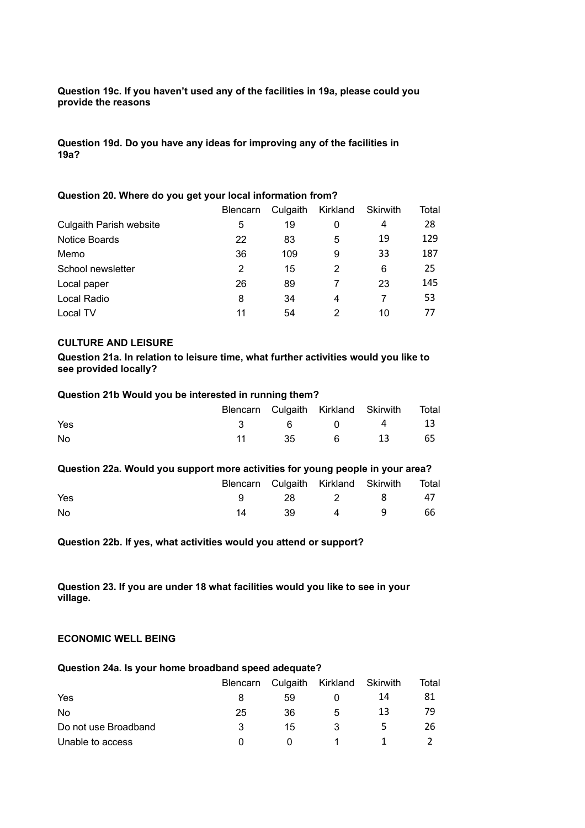#### **Question 19c. If you haven't used any of the facilities in 19a, please could you provide the reasons**

**Question 19d. Do you have any ideas for improving any of the facilities in 19a?**

#### **Question 20. Where do you get your local information from?**

|                                | <b>Blencarn</b> | Culgaith | Kirkland | Skirwith | Total |
|--------------------------------|-----------------|----------|----------|----------|-------|
| <b>Culgaith Parish website</b> | 5               | 19       | 0        | 4        | 28    |
| <b>Notice Boards</b>           | 22              | 83       | 5        | 19       | 129   |
| Memo                           | 36              | 109      | 9        | 33       | 187   |
| School newsletter              | 2               | 15       | 2        | 6        | 25    |
| Local paper                    | 26              | 89       |          | 23       | 145   |
| Local Radio                    | 8               | 34       | 4        |          | 53    |
| Local TV                       | 11              | 54       | 2        | 10       | 77    |

#### **CULTURE AND LEISURE**

**Question 21a. In relation to leisure time, what further activities would you like to see provided locally?**

#### **Question 21b Would you be interested in running them?**

|     |  | Blencarn Culgaith Kirkland Skirwith Total |  |
|-----|--|-------------------------------------------|--|
| Yes |  | 3 6 0 4 13                                |  |
| No  |  | 11 35 6 13 65                             |  |

#### **Question 22a. Would you support more activities for young people in your area?**

|     |    |    |       | Blencarn Culgaith Kirkland Skirwith Total |      |
|-----|----|----|-------|-------------------------------------------|------|
| Yes |    |    |       | 28 2 8 47                                 |      |
| No  | 14 | 39 | $4^9$ |                                           | - 66 |

**Question 22b. If yes, what activities would you attend or support?**

**Question 23. If you are under 18 what facilities would you like to see in your village.**

#### **ECONOMIC WELL BEING**

#### **Question 24a. Is your home broadband speed adequate?**

|                      | <b>Blencarn</b> |    | Culgaith Kirkland Skirwith |    | Total |
|----------------------|-----------------|----|----------------------------|----|-------|
| Yes                  |                 | 59 |                            | 14 | 81    |
| No.                  | 25              | 36 | 5                          | 13 | 79    |
| Do not use Broadband | 3               | 15 |                            |    | 26    |
| Unable to access     |                 |    |                            |    |       |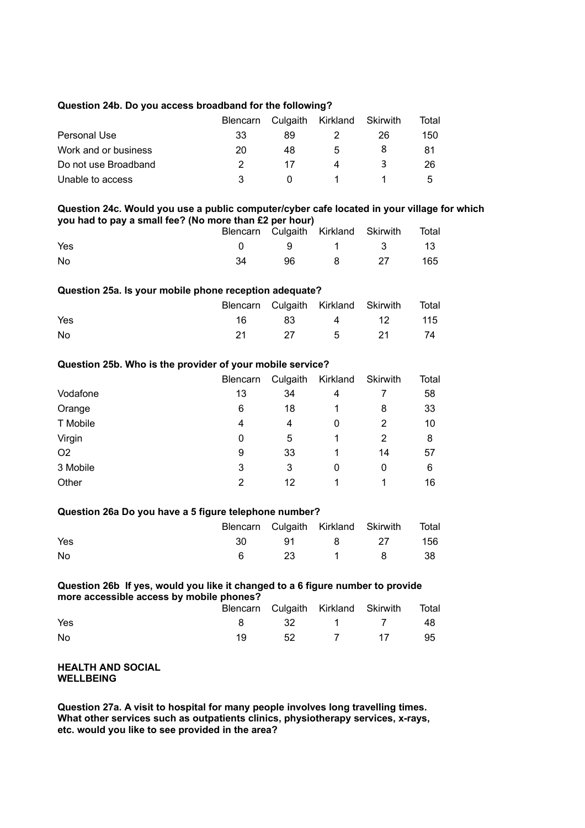#### **Question 24b. Do you access broadband for the following?**

|                      | <b>Blencarn</b> |    | Culgaith Kirkland Skirwith |    | Total |
|----------------------|-----------------|----|----------------------------|----|-------|
| Personal Use         | 33              | 89 |                            | 26 | 150   |
| Work and or business | 20              | 48 | 5                          |    | 81    |
| Do not use Broadband |                 | 17 | Λ                          | ≺  | 26    |
| Unable to access     |                 |    |                            |    | ᄃ     |

#### **Question 24c. Would you use a public computer/cyber cafe located in your village for which you had to pay a small fee? (No more than £2 per hour)**

|     |      | Blencarn Culgaith Kirkland Skirwith Total |     |
|-----|------|-------------------------------------------|-----|
| Yes |      | 0 9 1 3 13                                |     |
| No  | 96 — | 8 27                                      | 165 |

#### **Question 25a. Is your mobile phone reception adequate?**

|     |  | Blencarn Culgaith Kirkland Skirwith Total |  |
|-----|--|-------------------------------------------|--|
| Yes |  | 16 83 4 12 115                            |  |
| No  |  | 21 27 5 21 74                             |  |

#### **Question 25b. Who is the provider of your mobile service?**

|                | Blencarn | Culgaith | Kirkland | Skirwith | Total |
|----------------|----------|----------|----------|----------|-------|
| Vodafone       | 13       | 34       | 4        |          | 58    |
| Orange         | 6        | 18       |          | 8        | 33    |
| T Mobile       | 4        | 4        | 0        | 2        | 10    |
| Virgin         | 0        | 5        |          | 2        | 8     |
| O <sub>2</sub> | 9        | 33       |          | 14       | 57    |
| 3 Mobile       | 3        | 3        | 0        | 0        | 6     |
| Other          | 2        | 12       | 1        |          | 16    |

#### **Question 26a Do you have a 5 figure telephone number?**

|     |  | Blencarn Culgaith Kirkland Skirwith Total |  |
|-----|--|-------------------------------------------|--|
| Yes |  | 30 91 8 27 156                            |  |
| No  |  | 6 23 1 8 38                               |  |

#### **Question 26b If yes, would you like it changed to a 6 figure number to provide more accessible access by mobile phones?**

|     |  | Blencarn Culgaith Kirkland Skirwith Total |  |
|-----|--|-------------------------------------------|--|
| Yes |  | 8 32 1 7 48                               |  |
| No  |  | 52 7 17 95                                |  |

#### **HEALTH AND SOCIAL WELLBEING**

**Question 27a. A visit to hospital for many people involves long travelling times. What other services such as outpatients clinics, physiotherapy services, x-rays, etc. would you like to see provided in the area?**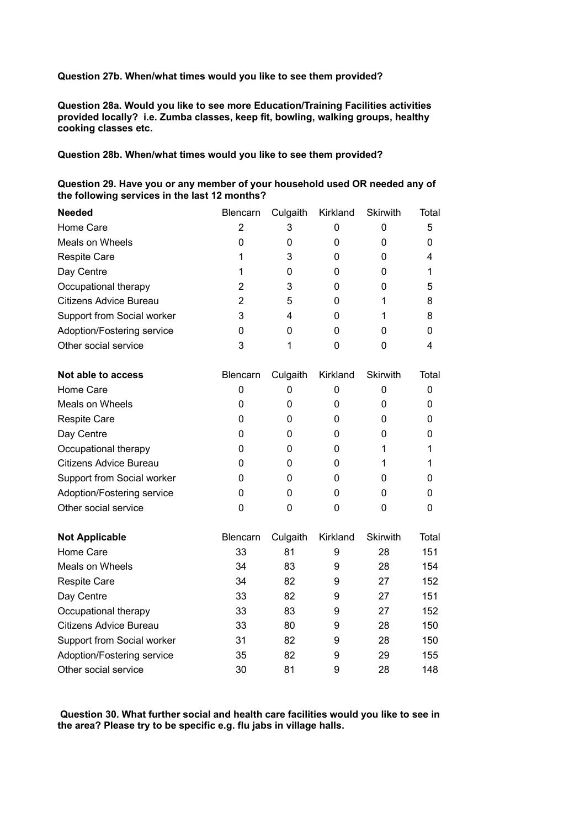**Question 27b. When/what times would you like to see them provided?**

**Question 28a. Would you like to see more Education/Training Facilities activities provided locally? i.e. Zumba classes, keep fit, bowling, walking groups, healthy cooking classes etc.**

**Question 28b. When/what times would you like to see them provided?**

| <b>Needed</b>                 | Blencarn       | Culgaith | Kirkland | Skirwith        | Total |
|-------------------------------|----------------|----------|----------|-----------------|-------|
| Home Care                     | 2              | 3        | 0        | 0               | 5     |
| <b>Meals on Wheels</b>        | 0              | 0        | 0        | $\mathbf 0$     | 0     |
| <b>Respite Care</b>           | 1              | 3        | 0        | 0               | 4     |
| Day Centre                    | 1              | 0        | 0        | 0               | 1     |
| Occupational therapy          | $\overline{2}$ | 3        | 0        | 0               | 5     |
| <b>Citizens Advice Bureau</b> | 2              | 5        | 0        | 1               | 8     |
| Support from Social worker    | 3              | 4        | 0        | 1               | 8     |
| Adoption/Fostering service    | 0              | 0        | 0        | 0               | 0     |
| Other social service          | 3              | 1        | 0        | 0               | 4     |
| Not able to access            | Blencarn       | Culgaith | Kirkland | <b>Skirwith</b> | Total |
| Home Care                     | 0              | 0        | 0        | 0               | 0     |
| <b>Meals on Wheels</b>        | 0              | 0        | 0        | 0               | 0     |
| <b>Respite Care</b>           | 0              | 0        | 0        | 0               | 0     |
| Day Centre                    | 0              | 0        | 0        | 0               | 0     |
| Occupational therapy          | 0              | 0        | 0        | 1               | 1     |
| <b>Citizens Advice Bureau</b> | 0              | 0        | 0        | 1               | 1     |
| Support from Social worker    | 0              | 0        | 0        | 0               | 0     |
| Adoption/Fostering service    | 0              | 0        | 0        | 0               | 0     |
| Other social service          | 0              | 0        | 0        | 0               | 0     |
| <b>Not Applicable</b>         | Blencarn       | Culgaith | Kirkland | <b>Skirwith</b> | Total |
| Home Care                     | 33             | 81       | 9        | 28              | 151   |
| <b>Meals on Wheels</b>        | 34             | 83       | 9        | 28              | 154   |
| <b>Respite Care</b>           | 34             | 82       | 9        | 27              | 152   |
| Day Centre                    | 33             | 82       | 9        | 27              | 151   |
| Occupational therapy          | 33             | 83       | 9        | 27              | 152   |
| Citizens Advice Bureau        | 33             | 80       | 9        | 28              | 150   |
| Support from Social worker    | 31             | 82       | 9        | 28              | 150   |
| Adoption/Fostering service    | 35             | 82       | 9        | 29              | 155   |
| Other social service          | 30             | 81       | 9        | 28              | 148   |

| Question 29. Have you or any member of your household used OR needed any of |
|-----------------------------------------------------------------------------|
| the following services in the last 12 months?                               |

 **Question 30. What further social and health care facilities would you like to see in the area? Please try to be specific e.g. flu jabs in village halls.**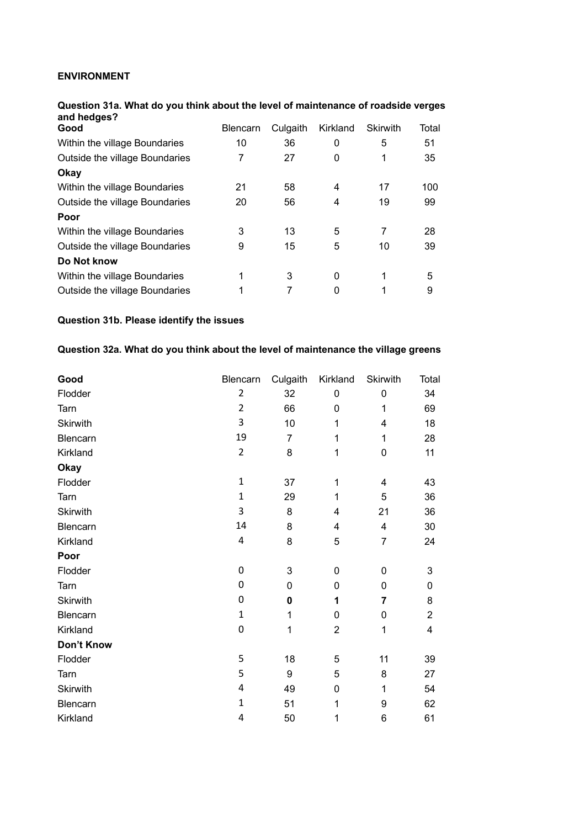# **ENVIRONMENT**

| Question 31a. What do you think about the level of maintenance of roadside verges<br>and hedges? |                 |          |          |                 |       |
|--------------------------------------------------------------------------------------------------|-----------------|----------|----------|-----------------|-------|
| Good                                                                                             | <b>Blencarn</b> | Culgaith | Kirkland | <b>Skirwith</b> | Total |
| Within the village Boundaries                                                                    | 10              | 36       | 0        | 5               | 51    |
| Outside the village Boundaries                                                                   |                 | 27       | 0        |                 | 35    |
| Okay                                                                                             |                 |          |          |                 |       |
| Within the village Boundaries                                                                    | 21              | 58       | 4        | 17              | 100   |
| Outside the village Boundaries                                                                   | 20              | 56       | 4        | 19              | 99    |
| Poor                                                                                             |                 |          |          |                 |       |
| Within the village Boundaries                                                                    | 3               | 13       | 5        | 7               | 28    |
| Outside the village Boundaries                                                                   | 9               | 15       | 5        | 10              | 39    |
| Do Not know                                                                                      |                 |          |          |                 |       |
| Within the village Boundaries                                                                    | 1               | 3        | $\Omega$ |                 | 5     |
| Outside the village Boundaries                                                                   |                 |          | 0        |                 | 9     |

# **Question 31a. What do you think about the level of maintenance of roadside verges**

# **Question 31b. Please identify the issues**

# **Question 32a. What do you think about the level of maintenance the village greens**

| Good            | Blencarn       | Culgaith       | Kirkland       | <b>Skirwith</b> | Total          |
|-----------------|----------------|----------------|----------------|-----------------|----------------|
| Flodder         | $\overline{2}$ | 32             | 0              | $\mathbf 0$     | 34             |
| Tarn            | $\overline{2}$ | 66             | 0              | 1               | 69             |
| Skirwith        | 3              | 10             | 1              | 4               | 18             |
| Blencarn        | 19             | $\overline{7}$ | 1              | 1               | 28             |
| Kirkland        | $\overline{2}$ | 8              | 1              | $\mathbf 0$     | 11             |
| <b>Okay</b>     |                |                |                |                 |                |
| Flodder         | $\mathbf{1}$   | 37             | $\mathbf 1$    | $\overline{4}$  | 43             |
| Tarn            | $\mathbf{1}$   | 29             | 1              | 5               | 36             |
| Skirwith        | 3              | 8              | 4              | 21              | 36             |
| Blencarn        | 14             | 8              | 4              | $\overline{4}$  | 30             |
| Kirkland        | 4              | 8              | 5              | $\overline{7}$  | 24             |
| Poor            |                |                |                |                 |                |
| Flodder         | 0              | 3              | 0              | 0               | 3              |
| Tarn            | 0              | 0              | 0              | $\mathbf 0$     | 0              |
| <b>Skirwith</b> | $\mathbf 0$    | $\mathbf 0$    | 1              | $\overline{7}$  | 8              |
| Blencarn        | $\mathbf 1$    | 1              | 0              | $\mathbf 0$     | $\overline{2}$ |
| Kirkland        | 0              | 1              | $\overline{2}$ | $\mathbf{1}$    | 4              |
| Don't Know      |                |                |                |                 |                |
| Flodder         | 5              | 18             | 5              | 11              | 39             |
| Tarn            | 5              | 9              | 5              | 8               | 27             |
| <b>Skirwith</b> | 4              | 49             | 0              | 1               | 54             |
| Blencarn        | $\mathbf{1}$   | 51             | 1              | 9               | 62             |
| Kirkland        | 4              | 50             | 1              | 6               | 61             |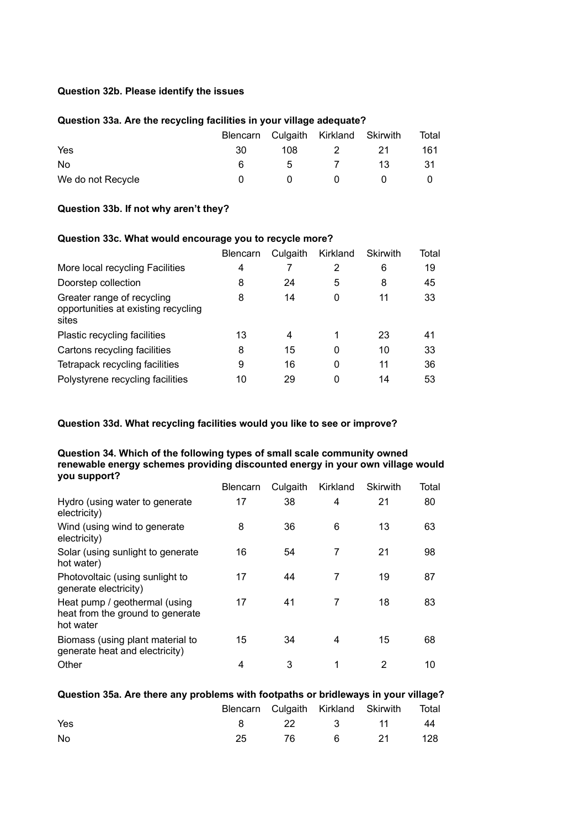#### **Question 32b. Please identify the issues**

#### **Question 33a. Are the recycling facilities in your village adequate?**

|                   |    |              | Blencarn Culgaith Kirkland Skirwith |      | Total |
|-------------------|----|--------------|-------------------------------------|------|-------|
| Yes               | 30 | 108          | 2                                   | -21  | 161   |
| No                | 6. | 5 -          | $\overline{7}$                      | -13- | -31   |
| We do not Recycle |    | $\mathbf{u}$ | $\mathbf{0}$                        |      |       |

#### **Question 33b. If not why aren't they?**

#### **Question 33c. What would encourage you to recycle more?**

|                                                                            | <b>Blencarn</b> | Culgaith | Kirkland | <b>Skirwith</b> | Total |
|----------------------------------------------------------------------------|-----------------|----------|----------|-----------------|-------|
| More local recycling Facilities                                            | 4               |          | 2        | 6               | 19    |
| Doorstep collection                                                        | 8               | 24       | 5        | 8               | 45    |
| Greater range of recycling<br>opportunities at existing recycling<br>sites | 8               | 14       | 0        | 11              | 33    |
| Plastic recycling facilities                                               | 13              | 4        | 1        | 23              | 41    |
| Cartons recycling facilities                                               | 8               | 15       | 0        | 10              | 33    |
| Tetrapack recycling facilities                                             | 9               | 16       | 0        | 11              | 36    |
| Polystyrene recycling facilities                                           | 10              | 29       | 0        | 14              | 53    |

#### **Question 33d. What recycling facilities would you like to see or improve?**

#### **Question 34. Which of the following types of small scale community owned renewable energy schemes providing discounted energy in your own village would you support?**

|                                                                                | <b>Blencarn</b> | Culgaith | Kirkland | <b>Skirwith</b> | Total |
|--------------------------------------------------------------------------------|-----------------|----------|----------|-----------------|-------|
| Hydro (using water to generate<br>electricity)                                 | 17              | 38       | 4        | 21              | 80    |
| Wind (using wind to generate<br>electricity)                                   | 8               | 36       | 6        | 13              | 63    |
| Solar (using sunlight to generate<br>hot water)                                | 16              | 54       | 7        | 21              | 98    |
| Photovoltaic (using sunlight to<br>generate electricity)                       | 17              | 44       | 7        | 19              | 87    |
| Heat pump / geothermal (using<br>heat from the ground to generate<br>hot water | 17              | 41       | 7        | 18              | 83    |
| Biomass (using plant material to<br>generate heat and electricity)             | 15              | 34       | 4        | 15              | 68    |
| Other                                                                          | 4               | 3        | 1        | 2               | 10    |

| Question 35a. Are there any problems with footpaths or bridleways in your village? |  |
|------------------------------------------------------------------------------------|--|
|------------------------------------------------------------------------------------|--|

|     |    |  | Blencarn Culgaith Kirkland Skirwith Total |  |
|-----|----|--|-------------------------------------------|--|
| Yes |    |  | 8 22 3 11 44                              |  |
| No. | 25 |  | 76 6 21 128                               |  |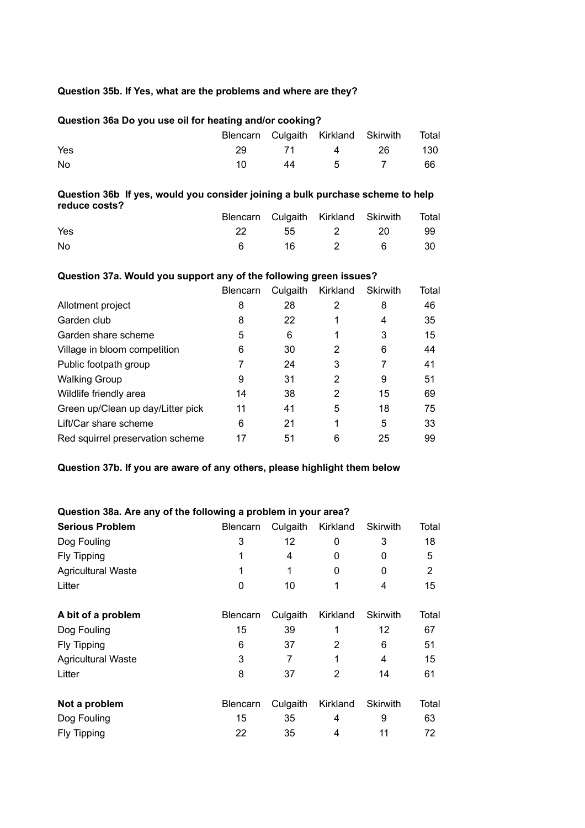#### **Question 35b. If Yes, what are the problems and where are they?**

# **Question 36a Do you use oil for heating and/or cooking?** Blencarn Culgaith Kirkland Skirwith Total Yes 29 71 4 26 130 No 10 44 5 7 66

### **Question 36b If yes, would you consider joining a bulk purchase scheme to help reduce costs?**

|     |    |  | Blencarn Culgaith Kirkland Skirwith Total |      |
|-----|----|--|-------------------------------------------|------|
| Yes | 22 |  | 55 2 20                                   | - 99 |
| No  |    |  | 16 2 6 30                                 |      |

#### **Question 37a. Would you support any of the following green issues?**

|                                   | <b>Blencarn</b> | Culgaith | Kirkland | <b>Skirwith</b> | Total |
|-----------------------------------|-----------------|----------|----------|-----------------|-------|
| Allotment project                 | 8               | 28       | 2        | 8               | 46    |
| Garden club                       | 8               | 22       | 1        | 4               | 35    |
| Garden share scheme               | 5               | 6        | 1        | 3               | 15    |
| Village in bloom competition      | 6               | 30       | 2        | 6               | 44    |
| Public footpath group             |                 | 24       | 3        | 7               | 41    |
| <b>Walking Group</b>              | 9               | 31       | 2        | 9               | 51    |
| Wildlife friendly area            | 14              | 38       | 2        | 15              | 69    |
| Green up/Clean up day/Litter pick | 11              | 41       | 5        | 18              | 75    |
| Lift/Car share scheme             | 6               | 21       | 1        | 5               | 33    |
| Red squirrel preservation scheme  | 17              | 51       | 6        | 25              | 99    |

#### **Question 37b. If you are aware of any others, please highlight them below**

#### **Question 38a. Are any of the following a problem in your area?**

| <b>Serious Problem</b>    | <b>Blencarn</b> | Culgaith | Kirkland | <b>Skirwith</b> | Total |
|---------------------------|-----------------|----------|----------|-----------------|-------|
| Dog Fouling               | 3               | 12       | 0        | 3               | 18    |
| Fly Tipping               |                 | 4        | 0        | 0               | 5     |
| <b>Agricultural Waste</b> |                 | 1        | 0        | 0               | 2     |
| Litter                    | 0               | 10       | 1        | 4               | 15    |
| A bit of a problem        | <b>Blencarn</b> | Culgaith | Kirkland | <b>Skirwith</b> | Total |
| Dog Fouling               | 15              | 39       | 1        | 12              | 67    |
| Fly Tipping               | 6               | 37       | 2        | 6               | 51    |
| <b>Agricultural Waste</b> | 3               | 7        | 1        | 4               | 15    |
| Litter                    | 8               | 37       | 2        | 14              | 61    |
| Not a problem             | <b>Blencarn</b> | Culgaith | Kirkland | <b>Skirwith</b> | Total |
| Dog Fouling               | 15              | 35       | 4        | 9               | 63    |
| Fly Tipping               | 22              | 35       | 4        | 11              | 72    |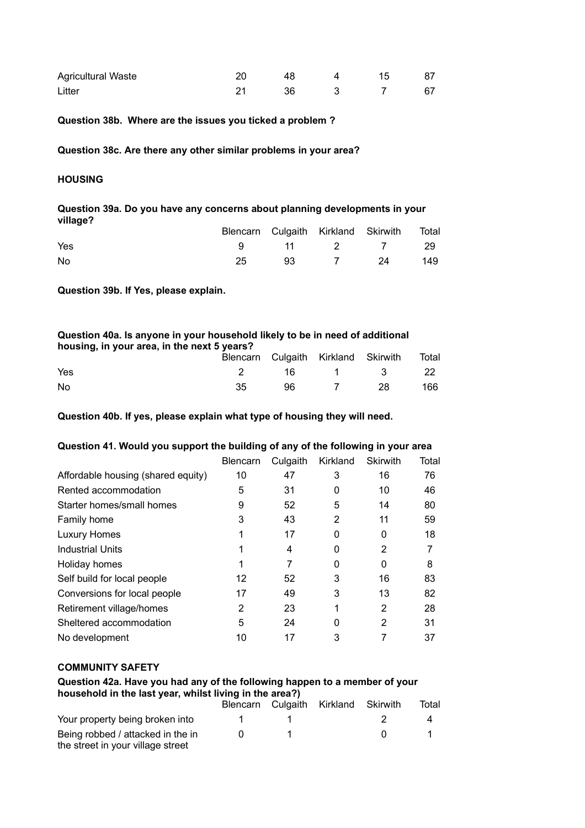| <b>Agricultural Waste</b> |  |  |    |
|---------------------------|--|--|----|
| Litter                    |  |  | 67 |

#### **Question 38b. Where are the issues you ticked a problem ?**

**Question 38c. Are there any other similar problems in your area?**

#### **HOUSING**

#### **Question 39a. Do you have any concerns about planning developments in your village?**  Blencarn Culgaith Kirkland Skirwith Total

|     |  | Biencarn Culgaith Kirkland Skirwith Iotal |     |
|-----|--|-------------------------------------------|-----|
| Yes |  | 9 11 2 7 29                               |     |
| No  |  | 93 7 24                                   | 149 |

**Question 39b. If Yes, please explain.**

| Question 40a. Is anyone in your household likely to be in need of additional<br>housing, in your area, in the next 5 years? |    |    |                                     |     |       |  |
|-----------------------------------------------------------------------------------------------------------------------------|----|----|-------------------------------------|-----|-------|--|
|                                                                                                                             |    |    | Blencarn Culgaith Kirkland Skirwith |     | Total |  |
| Yes                                                                                                                         |    | 16 | $\mathbf{1}$                        | - 2 | 22.   |  |
| No.                                                                                                                         | 35 | 96 |                                     | 28  | 166   |  |

**Question 40b. If yes, please explain what type of housing they will need.**

#### **Question 41. Would you support the building of any of the following in your area**

| <b>Blencarn</b> | Culgaith | Kirkland | <b>Skirwith</b> | Total |
|-----------------|----------|----------|-----------------|-------|
| 10              | 47       | 3        | 16              | 76    |
| 5               | 31       | 0        | 10              | 46    |
| 9               | 52       | 5        | 14              | 80    |
| 3               | 43       | 2        | 11              | 59    |
|                 | 17       | 0        | 0               | 18    |
|                 | 4        | 0        | 2               |       |
|                 |          | 0        | 0               | 8     |
| 12              | 52       | 3        | 16              | 83    |
| 17              | 49       | 3        | 13              | 82    |
| 2               | 23       | 1        | 2               | 28    |
| 5               | 24       | 0        | 2               | 31    |
| 10              | 17       | 3        |                 | 37    |
|                 |          |          |                 |       |

#### **COMMUNITY SAFETY**

#### **Question 42a. Have you had any of the following happen to a member of your household in the last year, whilst living in the area?)**

|                                                                        |  | Blencarn Culgaith Kirkland Skirwith | Total |
|------------------------------------------------------------------------|--|-------------------------------------|-------|
| Your property being broken into                                        |  |                                     |       |
| Being robbed / attacked in the in<br>the street in your village street |  |                                     |       |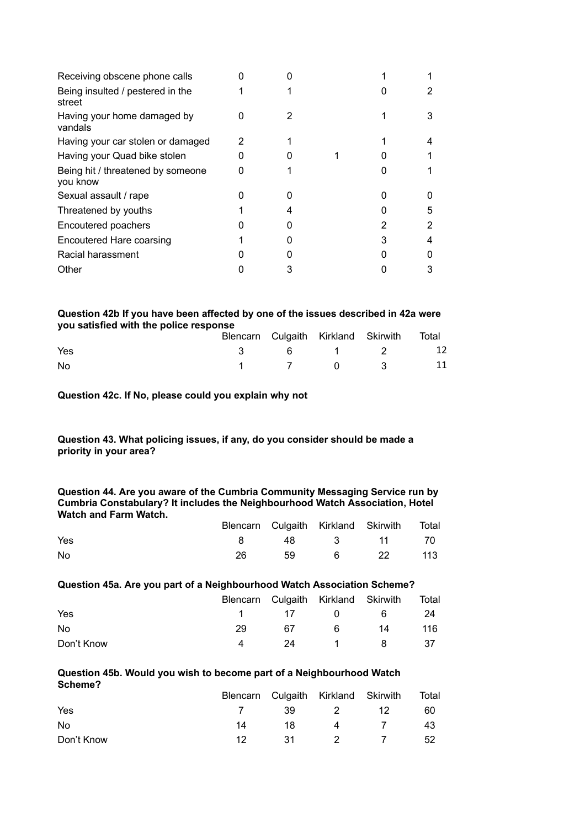|   | 2 |
|---|---|
|   | 3 |
|   |   |
|   |   |
|   |   |
|   |   |
|   | 5 |
|   | 2 |
| 3 | 4 |
|   |   |
|   | 3 |
|   |   |

#### **Question 42b If you have been affected by one of the issues described in 42a were you satisfied with the police response**

|     |  | Blencarn Culgaith Kirkland Skirwith Total |  |
|-----|--|-------------------------------------------|--|
| Yes |  | 3 6 1 2 12                                |  |
| No. |  | 1 7 0 3 11                                |  |

#### **Question 42c. If No, please could you explain why not**

#### **Question 43. What policing issues, if any, do you consider should be made a priority in your area?**

#### **Question 44. Are you aware of the Cumbria Community Messaging Service run by Cumbria Constabulary? It includes the Neighbourhood Watch Association, Hotel Watch and Farm Watch.**

|     |  | Blencarn Culgaith Kirkland Skirwith Total |  |
|-----|--|-------------------------------------------|--|
| Yes |  | 8 48 3 11 70                              |  |
| No  |  | 59 6 22 113                               |  |

#### **Question 45a. Are you part of a Neighbourhood Watch Association Scheme?**

|            |    |     | Blencarn Culgaith Kirkland Skirwith |       | Total |
|------------|----|-----|-------------------------------------|-------|-------|
| Yes        |    |     | 1 17 0                              | -6    | 24    |
| No.        | 29 | 67  | 6                                   | 14    | 116   |
| Don't Know | 4  | -24 | $\sim$ 1                            | - 8 - | - 37  |

#### **Question 45b. Would you wish to become part of a Neighbourhood Watch Scheme?**

|            |    |      | Blencarn Culgaith Kirkland Skirwith |     | Total |
|------------|----|------|-------------------------------------|-----|-------|
| Yes        |    |      | 39 2 12                             |     | 60    |
| No.        | 14 | - 18 |                                     | 4 7 | 43    |
| Don't Know | 12 |      | 31 2 7                              |     | -52   |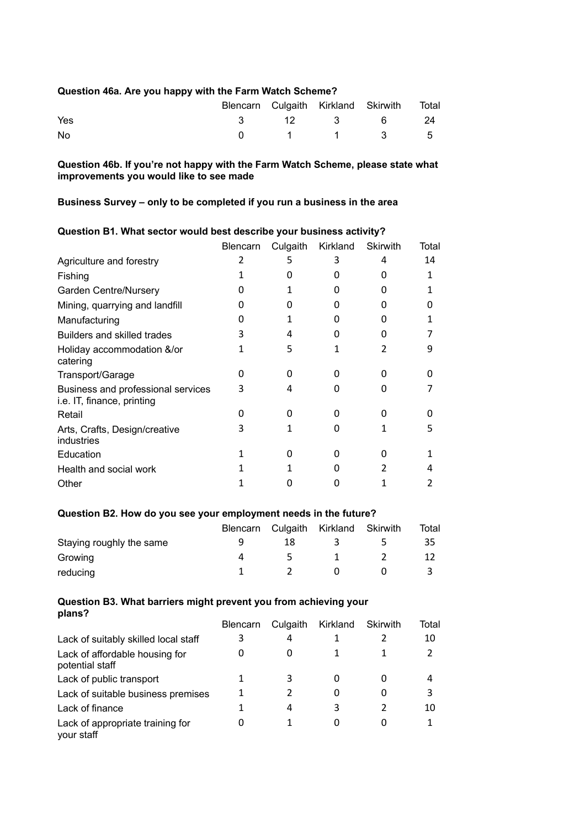#### **Question 46a. Are you happy with the Farm Watch Scheme?**

|     |  | Blencarn Culgaith Kirkland Skirwith Total |  |
|-----|--|-------------------------------------------|--|
| Yes |  | 3 12 3 6 24                               |  |
| No  |  | 0 1 1 3 5                                 |  |

**Question 46b. If you're not happy with the Farm Watch Scheme, please state what improvements you would like to see made**

# **Business Survey – only to be completed if you run a business in the area**

|                                                                  | <b>Blencarn</b> | Culgaith | Kirkland | <b>Skirwith</b> | Total |
|------------------------------------------------------------------|-----------------|----------|----------|-----------------|-------|
| Agriculture and forestry                                         |                 | 5        | 3        | 4               | 14    |
| Fishing                                                          |                 | 0        | O        | 0               | 1     |
| <b>Garden Centre/Nursery</b>                                     |                 |          | O        | Ω               |       |
| Mining, quarrying and landfill                                   |                 |          | O        |                 |       |
| Manufacturing                                                    | 0               |          | O        |                 |       |
| Builders and skilled trades                                      | 3               | 4        | O        |                 |       |
| Holiday accommodation &/or<br>catering                           |                 | 5        | 1        | 2               | 9     |
| Transport/Garage                                                 | 0               | 0        | 0        | O               |       |
| Business and professional services<br>i.e. IT, finance, printing | 3               | 4        | 0        | U               |       |
| Retail                                                           |                 | O        | 0        | O               |       |
| Arts, Crafts, Design/creative<br>industries                      | 3               |          | ი        |                 | 5     |
| Education                                                        |                 | O        | 0        | O               |       |
| Health and social work                                           |                 |          | O        |                 | 4     |
| Other                                                            |                 |          |          |                 |       |

#### **Question B1. What sector would best describe your business activity?**

#### **Question B2. How do you see your employment needs in the future?**

|                          |    | Blencarn Culgaith Kirkland Skirwith |   | Total |
|--------------------------|----|-------------------------------------|---|-------|
| Staying roughly the same | 18 |                                     | ` | 35    |
| Growing                  |    |                                     |   |       |
| reducing                 |    |                                     |   |       |

#### **Question B3. What barriers might prevent you from achieving your plans?**

|                                                   | <b>Blencarn</b> | Culgaith | Kirkland | Skirwith     | Total |
|---------------------------------------------------|-----------------|----------|----------|--------------|-------|
| Lack of suitably skilled local staff              |                 | 4        |          |              | 10    |
| Lack of affordable housing for<br>potential staff | 0               | 0        |          |              |       |
| Lack of public transport                          |                 | 3        | 0        |              | 4     |
| Lack of suitable business premises                |                 | 2        | 0        | $\mathbf{0}$ | З     |
| Lack of finance                                   |                 | 4        | 3        |              | 10    |
| Lack of appropriate training for<br>your staff    |                 |          | $\Omega$ |              |       |